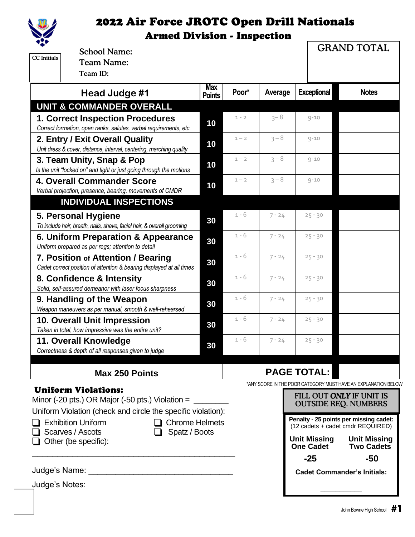

|                                                                                      | <b>School Name:</b>                                                    |                             |         |                          |                     | <b>GRAND TOTAL</b>                                             |  |  |
|--------------------------------------------------------------------------------------|------------------------------------------------------------------------|-----------------------------|---------|--------------------------|---------------------|----------------------------------------------------------------|--|--|
| <b>CC</b> Initials                                                                   | <b>Team Name:</b>                                                      |                             |         |                          |                     |                                                                |  |  |
|                                                                                      | Team ID:                                                               |                             |         |                          |                     |                                                                |  |  |
|                                                                                      | Head Judge #1                                                          | <b>Max</b><br><b>Points</b> | Poor*   | Average                  | <b>Exceptional</b>  | <b>Notes</b>                                                   |  |  |
|                                                                                      | <b>UNIT &amp; COMMANDER OVERALL</b>                                    |                             |         |                          |                     |                                                                |  |  |
|                                                                                      | <b>1. Correct Inspection Procedures</b>                                |                             | $1 - 2$ | $3 - 8$                  | $9 - 10$            |                                                                |  |  |
| Correct formation, open ranks, salutes, verbal requirements, etc.                    |                                                                        | 10                          |         |                          |                     |                                                                |  |  |
| 2. Entry / Exit Overall Quality                                                      |                                                                        | 10                          | $1 - 2$ | $3 - 8$                  | $9 - 10$            |                                                                |  |  |
|                                                                                      | Unit dress & cover, distance, interval, centering, marching quality    |                             |         |                          |                     |                                                                |  |  |
| 3. Team Unity, Snap & Pop                                                            |                                                                        | 10                          | $1 - 2$ | $3 - 8$                  | $9 - 10$            |                                                                |  |  |
| Is the unit "locked on" and tight or just going through the motions                  |                                                                        |                             |         |                          |                     |                                                                |  |  |
|                                                                                      | 4. Overall Commander Score<br>10                                       |                             | $1 - 2$ | $3 - 8$                  | $9 - 10$            |                                                                |  |  |
|                                                                                      | Verbal projection, presence, bearing, movements of CMDR                |                             |         |                          |                     |                                                                |  |  |
|                                                                                      | <b>INDIVIDUAL INSPECTIONS</b>                                          |                             |         |                          |                     |                                                                |  |  |
|                                                                                      | 5. Personal Hygiene                                                    | 30                          | 1 - 6   | $7 - 24$                 | $25 - 30$           |                                                                |  |  |
|                                                                                      | To include hair, breath, nails, shave, facial hair, & overall grooming |                             |         |                          |                     |                                                                |  |  |
| 6. Uniform Preparation & Appearance                                                  |                                                                        | 30                          | $1 - 6$ | $7 - 24$                 | $25 - 30$           |                                                                |  |  |
|                                                                                      | Uniform prepared as per regs; attention to detail                      |                             |         |                          |                     |                                                                |  |  |
|                                                                                      | 7. Position of Attention / Bearing                                     | 30                          | $1 - 6$ | $7 - 24$                 | $25 - 30$           |                                                                |  |  |
|                                                                                      | Cadet correct position of attention & bearing displayed at all times   |                             |         |                          |                     |                                                                |  |  |
|                                                                                      | 8. Confidence & Intensity                                              | 30                          | $1 - 6$ | $7 - 24$                 | $25 - 30$           |                                                                |  |  |
|                                                                                      | Solid, self-assured demeanor with laser focus sharpness                |                             | $1 - 6$ |                          |                     |                                                                |  |  |
| 9. Handling of the Weapon<br>Weapon maneuvers as per manual, smooth & well-rehearsed |                                                                        | 30                          |         | $7 - 24$                 | $25 - 30$           |                                                                |  |  |
|                                                                                      | <b>10. Overall Unit Impression</b>                                     |                             | $1 - 6$ | $7 - 24$                 | $25 - 30$           |                                                                |  |  |
|                                                                                      | Taken in total, how impressive was the entire unit?                    | 30                          |         |                          |                     |                                                                |  |  |
|                                                                                      | 11. Overall Knowledge                                                  |                             | $1 - 6$ | $7 - 24$                 | $25 - 30$           |                                                                |  |  |
|                                                                                      | Correctness & depth of all responses given to judge                    | 30                          |         |                          |                     |                                                                |  |  |
|                                                                                      |                                                                        |                             |         |                          |                     |                                                                |  |  |
|                                                                                      | <b>Max 250 Points</b>                                                  |                             |         |                          | <b>PAGE TOTAL:</b>  |                                                                |  |  |
|                                                                                      |                                                                        |                             |         |                          |                     | *ANY SCORE IN THE POOR CATEGORY MUST HAVE AN EXPLANATION BELOW |  |  |
| <b>Uniform Violations:</b>                                                           |                                                                        |                             |         | FILL OUT ONLY IF UNIT IS |                     |                                                                |  |  |
| Minor (-20 pts.) OR Major (-50 pts.) Violation = $\frac{1}{\sqrt{1-\frac{1}{2}}}\$   |                                                                        |                             |         |                          |                     | <b>OUTSIDE REQ. NUMBERS</b>                                    |  |  |
|                                                                                      | Uniform Violation (check and circle the specific violation):           |                             |         |                          |                     | Penalty - 25 points per missing cadet:                         |  |  |
| <b>Exhibition Uniform</b><br>□ Chrome Helmets                                        |                                                                        |                             |         |                          |                     | (12 cadets + cadet cmdr REQUIRED)                              |  |  |
| Scarves / Ascots<br>Spatz / Boots<br>Other (be specific):                            |                                                                        |                             |         | <b>Unit Missing</b>      | <b>Unit Missing</b> |                                                                |  |  |
|                                                                                      |                                                                        |                             |         |                          | One Cadet           | <b>Two Cadets</b>                                              |  |  |
|                                                                                      |                                                                        |                             |         |                          | $-25$               | $-50$                                                          |  |  |
|                                                                                      | Judge's Name:                                                          |                             |         |                          |                     | <b>Cadet Commander's Initials:</b>                             |  |  |
| Judge's Notes:                                                                       |                                                                        |                             |         |                          |                     |                                                                |  |  |
|                                                                                      |                                                                        |                             |         |                          |                     |                                                                |  |  |
|                                                                                      |                                                                        |                             |         |                          |                     |                                                                |  |  |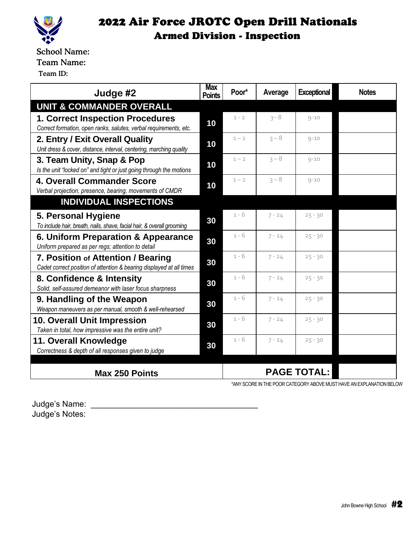

School Name: Team Name:

Team ID:

| Judge #2                                                                                                     | <b>Max</b><br><b>Points</b> | Poor*              | Average  | <b>Exceptional</b> | <b>Notes</b> |
|--------------------------------------------------------------------------------------------------------------|-----------------------------|--------------------|----------|--------------------|--------------|
| <b>UNIT &amp; COMMANDER OVERALL</b>                                                                          |                             |                    |          |                    |              |
| <b>1. Correct Inspection Procedures</b><br>Correct formation, open ranks, salutes, verbal requirements, etc. | 10                          | $1 - 2$            | $3 - 8$  | $9 - 10$           |              |
| 2. Entry / Exit Overall Quality<br>Unit dress & cover, distance, interval, centering, marching quality       | 10                          | $1 - 2$            | $3 - 8$  | $9 - 10$           |              |
| 3. Team Unity, Snap & Pop<br>Is the unit "locked on" and tight or just going through the motions             | 10                          | $1 - 2$            | $3 - 8$  | $9 - 10$           |              |
| <b>4. Overall Commander Score</b><br>Verbal projection, presence, bearing, movements of CMDR                 | 10                          | $1 - 2$            | $3 - 8$  | $9 - 10$           |              |
| <b>INDIVIDUAL INSPECTIONS</b>                                                                                |                             |                    |          |                    |              |
| 5. Personal Hygiene<br>To include hair, breath, nails, shave, facial hair, & overall grooming                | 30                          | 1 - 6              | $7 - 24$ | $25 - 30$          |              |
| 6. Uniform Preparation & Appearance<br>Uniform prepared as per regs; attention to detail                     | 30                          | $1 - 6$            | $7 - 24$ | $25 - 30$          |              |
| 7. Position of Attention / Bearing<br>Cadet correct position of attention & bearing displayed at all times   | 30                          | $1 - 6$            | $7 - 24$ | $25 - 30$          |              |
| 8. Confidence & Intensity<br>Solid, self-assured demeanor with laser focus sharpness                         | 30                          | $1 - 6$            | $7 - 24$ | $25 - 30$          |              |
| 9. Handling of the Weapon<br>Weapon maneuvers as per manual, smooth & well-rehearsed                         | 30                          | $1 - 6$            | $7 - 24$ | $25 - 30$          |              |
| <b>10. Overall Unit Impression</b><br>Taken in total, how impressive was the entire unit?                    | 30                          | 1 - 6              | $7 - 24$ | $25 - 30$          |              |
| 11. Overall Knowledge<br>Correctness & depth of all responses given to judge                                 |                             | $1 - 6$            | $7 - 24$ | $25 - 30$          |              |
| <b>Max 250 Points</b>                                                                                        |                             | <b>PAGE TOTAL:</b> |          |                    |              |

\*ANY SCORE IN THE POOR CATEGORY ABOVE MUST HAVE AN EXPLANATION BELOW

Judge's Name: \_\_\_\_\_\_\_\_\_\_\_\_\_\_\_\_\_\_\_\_\_\_\_\_\_\_\_\_\_\_\_\_\_\_\_\_\_ Judge's Notes: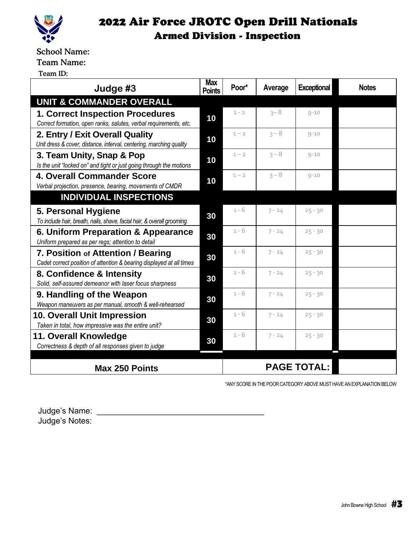

School Name:

Team Name:

Team ID:

| Judge #3                                                                                                     | <b>Max</b><br><b>Points</b> | Poor*   | Average  | <b>Exceptional</b> | <b>Notes</b> |
|--------------------------------------------------------------------------------------------------------------|-----------------------------|---------|----------|--------------------|--------------|
| <b>UNIT &amp; COMMANDER OVERALL</b>                                                                          |                             |         |          |                    |              |
| <b>1. Correct Inspection Procedures</b><br>Correct formation, open ranks, salutes, verbal requirements, etc. | 10                          | $1 - 2$ | $3 - 8$  | $9 - 10$           |              |
| 2. Entry / Exit Overall Quality<br>Unit dress & cover, distance, interval, centering, marching quality       | 10                          | $1 - 2$ | $3 - 8$  | $9 - 10$           |              |
| 3. Team Unity, Snap & Pop<br>Is the unit "locked on" and tight or just going through the motions             | 10                          | $1 - 2$ | $3 - 8$  | $9 - 10$           |              |
| <b>4. Overall Commander Score</b><br>Verbal projection, presence, bearing, movements of CMDR                 | 10                          | $1 - 2$ | $3 - 8$  | $9 - 10$           |              |
| <b>INDIVIDUAL INSPECTIONS</b>                                                                                |                             |         |          |                    |              |
| 5. Personal Hygiene<br>To include hair, breath, nails, shave, facial hair, & overall grooming                | 30                          | $1 - 6$ | $7 - 24$ | $25 - 30$          |              |
| 6. Uniform Preparation & Appearance<br>Uniform prepared as per regs; attention to detail                     | 30                          | $1 - 6$ | $7 - 24$ | $25 - 30$          |              |
| 7. Position of Attention / Bearing<br>Cadet correct position of attention & bearing displayed at all times   | 30                          | $1 - 6$ | $7 - 24$ | $25 - 30$          |              |
| 8. Confidence & Intensity<br>Solid, self-assured demeanor with laser focus sharpness                         |                             | $1 - 6$ | $7 - 24$ | $25 - 30$          |              |
| 9. Handling of the Weapon<br>Weapon maneuvers as per manual, smooth & well-rehearsed                         | 30                          | $1 - 6$ | $7 - 24$ | $25 - 30$          |              |
| 10. Overall Unit Impression<br>Taken in total, how impressive was the entire unit?                           | 30                          | $1 - 6$ | $7 - 24$ | $25 - 30$          |              |
| 11. Overall Knowledge<br>Correctness & depth of all responses given to judge                                 |                             | $1 - 6$ | $7 - 24$ | $25 - 30$          |              |
|                                                                                                              |                             |         |          | <b>PAGE TOTAL:</b> |              |
| <b>Max 250 Points</b>                                                                                        |                             |         |          |                    |              |

\*ANY SCORE IN THE POOR CATEGORY ABOVE MUST HAVE AN EXPLANATION BELOW

Judge's Name: \_\_\_\_\_\_\_\_\_\_\_\_\_\_\_\_\_\_\_\_\_\_\_\_\_\_\_\_\_\_\_\_\_\_\_\_\_ Judge's Notes: